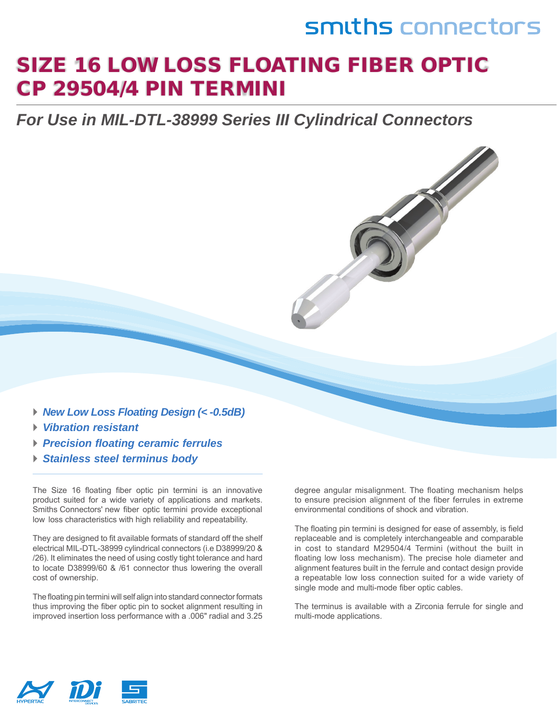## smiths connectors

### SIZE 16 LOW LOSS FLOATING FIBER OPTIC CP 29504/4 PIN TERMINI

*For Use in MIL-DTL-38999 Series III Cylindrical Connectors* 

- *► New Low Loss Floating Design (< -0.5dB)*
- *► Vibration resistant*
- *► Precision floating ceramic ferrules*
- *► Stainless steel terminus body*

The Size 16 floating fiber optic pin termini is an innovative product suited for a wide variety of applications and markets. Smiths Connectors' new fiber optic termini provide exceptional low loss characteristics with high reliability and repeatability.

They are designed to fit available formats of standard off the shelf electrical MIL-DTL-38999 cylindrical connectors (i.e D38999/20 & /26). It eliminates the need of using costly tight tolerance and hard to locate D38999/60 & /61 connector thus lowering the overall cost of ownership.

The floating pin termini will self align into standard connector formats thus improving the fiber optic pin to socket alignment resulting in improved insertion loss performance with a .006" radial and 3.25

degree angular misalignment. The floating mechanism helps to ensure precision alignment of the fiber ferrules in extreme environmental conditions of shock and vibration.

The floating pin termini is designed for ease of assembly, is field replaceable and is completely interchangeable and comparable in cost to standard M29504/4 Termini (without the built in floating low loss mechanism). The precise hole diameter and alignment features built in the ferrule and contact design provide a repeatable low loss connection suited for a wide variety of single mode and multi-mode fiber optic cables.

The terminus is available with a Zirconia ferrule for single and multi-mode applications.